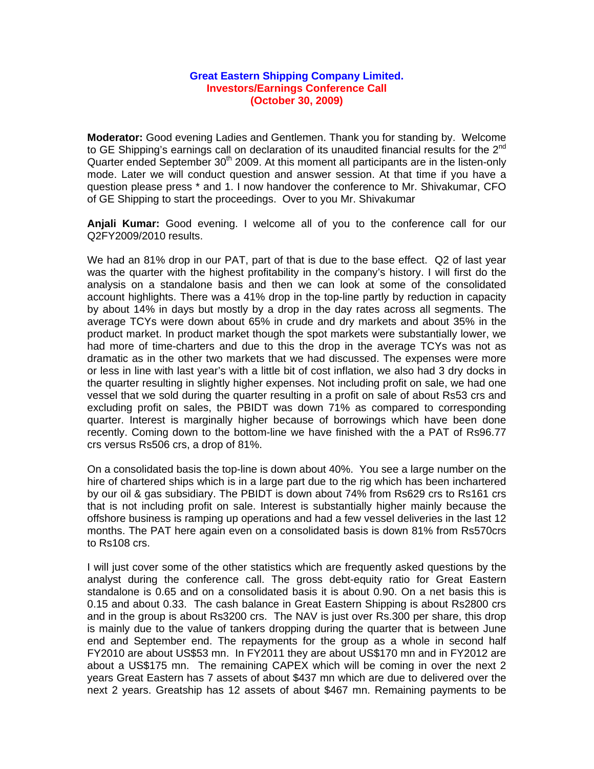## **Great Eastern Shipping Company Limited. Investors/Earnings Conference Call (October 30, 2009)**

**Moderator:** Good evening Ladies and Gentlemen. Thank you for standing by. Welcome to GE Shipping's earnings call on declaration of its unaudited financial results for the  $2^{nd}$ Quarter ended September  $30<sup>th</sup>$  2009. At this moment all participants are in the listen-only mode. Later we will conduct question and answer session. At that time if you have a question please press \* and 1. I now handover the conference to Mr. Shivakumar, CFO of GE Shipping to start the proceedings. Over to you Mr. Shivakumar

**Anjali Kumar:** Good evening. I welcome all of you to the conference call for our Q2FY2009/2010 results.

We had an 81% drop in our PAT, part of that is due to the base effect. Q2 of last year was the quarter with the highest profitability in the company's history. I will first do the analysis on a standalone basis and then we can look at some of the consolidated account highlights. There was a 41% drop in the top-line partly by reduction in capacity by about 14% in days but mostly by a drop in the day rates across all segments. The average TCYs were down about 65% in crude and dry markets and about 35% in the product market. In product market though the spot markets were substantially lower, we had more of time-charters and due to this the drop in the average TCYs was not as dramatic as in the other two markets that we had discussed. The expenses were more or less in line with last year's with a little bit of cost inflation, we also had 3 dry docks in the quarter resulting in slightly higher expenses. Not including profit on sale, we had one vessel that we sold during the quarter resulting in a profit on sale of about Rs53 crs and excluding profit on sales, the PBIDT was down 71% as compared to corresponding quarter. Interest is marginally higher because of borrowings which have been done recently. Coming down to the bottom-line we have finished with the a PAT of Rs96.77 crs versus Rs506 crs, a drop of 81%.

On a consolidated basis the top-line is down about 40%. You see a large number on the hire of chartered ships which is in a large part due to the rig which has been inchartered by our oil & gas subsidiary. The PBIDT is down about 74% from Rs629 crs to Rs161 crs that is not including profit on sale. Interest is substantially higher mainly because the offshore business is ramping up operations and had a few vessel deliveries in the last 12 months. The PAT here again even on a consolidated basis is down 81% from Rs570crs to Rs108 crs.

I will just cover some of the other statistics which are frequently asked questions by the analyst during the conference call. The gross debt-equity ratio for Great Eastern standalone is 0.65 and on a consolidated basis it is about 0.90. On a net basis this is 0.15 and about 0.33. The cash balance in Great Eastern Shipping is about Rs2800 crs and in the group is about Rs3200 crs. The NAV is just over Rs.300 per share, this drop is mainly due to the value of tankers dropping during the quarter that is between June end and September end. The repayments for the group as a whole in second half FY2010 are about US\$53 mn. In FY2011 they are about US\$170 mn and in FY2012 are about a US\$175 mn. The remaining CAPEX which will be coming in over the next 2 years Great Eastern has 7 assets of about \$437 mn which are due to delivered over the next 2 years. Greatship has 12 assets of about \$467 mn. Remaining payments to be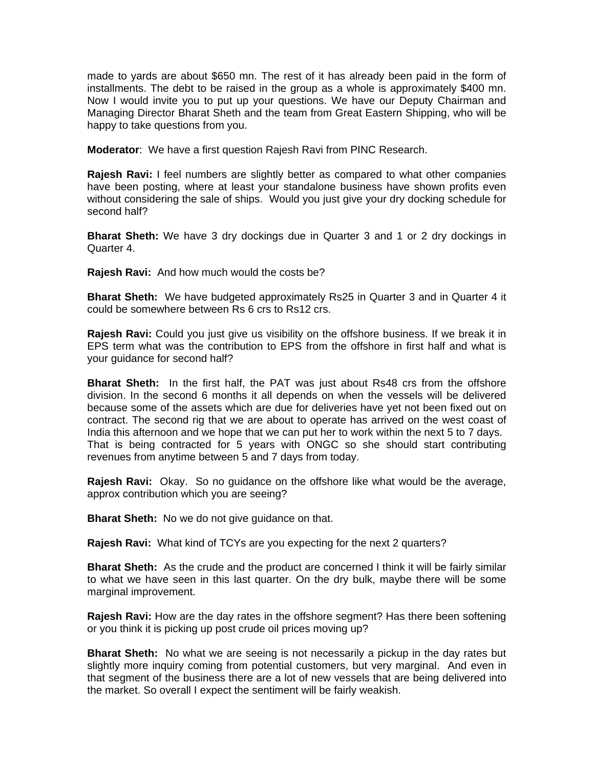made to yards are about \$650 mn. The rest of it has already been paid in the form of installments. The debt to be raised in the group as a whole is approximately \$400 mn. Now I would invite you to put up your questions. We have our Deputy Chairman and Managing Director Bharat Sheth and the team from Great Eastern Shipping, who will be happy to take questions from you.

**Moderator**: We have a first question Rajesh Ravi from PINC Research.

**Rajesh Ravi:** I feel numbers are slightly better as compared to what other companies have been posting, where at least your standalone business have shown profits even without considering the sale of ships. Would you just give your dry docking schedule for second half?

**Bharat Sheth:** We have 3 dry dockings due in Quarter 3 and 1 or 2 dry dockings in Quarter 4.

**Rajesh Ravi:** And how much would the costs be?

**Bharat Sheth:** We have budgeted approximately Rs25 in Quarter 3 and in Quarter 4 it could be somewhere between Rs 6 crs to Rs12 crs.

**Rajesh Ravi:** Could you just give us visibility on the offshore business. If we break it in EPS term what was the contribution to EPS from the offshore in first half and what is your guidance for second half?

**Bharat Sheth:** In the first half, the PAT was just about Rs48 crs from the offshore division. In the second 6 months it all depends on when the vessels will be delivered because some of the assets which are due for deliveries have yet not been fixed out on contract. The second rig that we are about to operate has arrived on the west coast of India this afternoon and we hope that we can put her to work within the next 5 to 7 days. That is being contracted for 5 years with ONGC so she should start contributing revenues from anytime between 5 and 7 days from today.

**Rajesh Ravi:** Okay. So no guidance on the offshore like what would be the average, approx contribution which you are seeing?

**Bharat Sheth:** No we do not give guidance on that.

**Rajesh Ravi:** What kind of TCYs are you expecting for the next 2 quarters?

**Bharat Sheth:** As the crude and the product are concerned I think it will be fairly similar to what we have seen in this last quarter. On the dry bulk, maybe there will be some marginal improvement.

**Rajesh Ravi:** How are the day rates in the offshore segment? Has there been softening or you think it is picking up post crude oil prices moving up?

**Bharat Sheth:** No what we are seeing is not necessarily a pickup in the day rates but slightly more inquiry coming from potential customers, but very marginal. And even in that segment of the business there are a lot of new vessels that are being delivered into the market. So overall I expect the sentiment will be fairly weakish.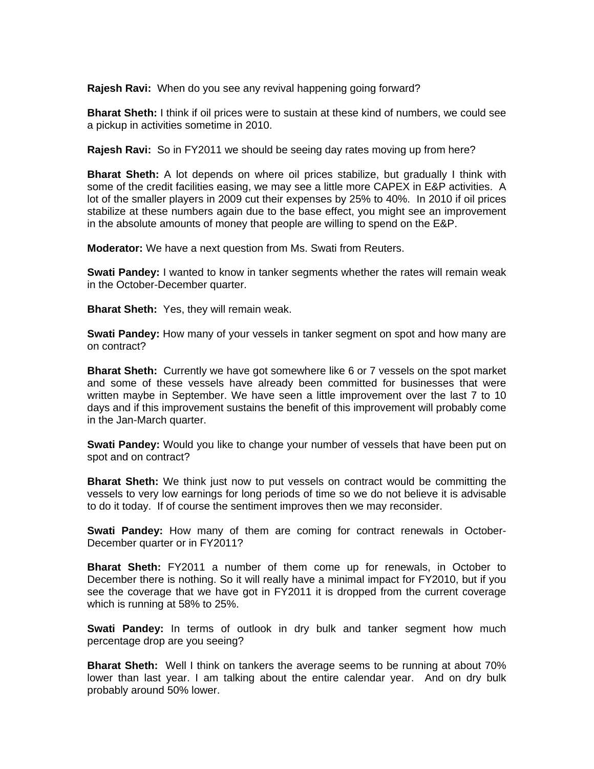**Rajesh Ravi:** When do you see any revival happening going forward?

**Bharat Sheth:** I think if oil prices were to sustain at these kind of numbers, we could see a pickup in activities sometime in 2010.

**Rajesh Ravi:** So in FY2011 we should be seeing day rates moving up from here?

**Bharat Sheth:** A lot depends on where oil prices stabilize, but gradually I think with some of the credit facilities easing, we may see a little more CAPEX in E&P activities. A lot of the smaller players in 2009 cut their expenses by 25% to 40%. In 2010 if oil prices stabilize at these numbers again due to the base effect, you might see an improvement in the absolute amounts of money that people are willing to spend on the E&P.

**Moderator:** We have a next question from Ms. Swati from Reuters.

**Swati Pandey:** I wanted to know in tanker segments whether the rates will remain weak in the October-December quarter.

**Bharat Sheth:** Yes, they will remain weak.

**Swati Pandey:** How many of your vessels in tanker segment on spot and how many are on contract?

**Bharat Sheth:** Currently we have got somewhere like 6 or 7 vessels on the spot market and some of these vessels have already been committed for businesses that were written maybe in September. We have seen a little improvement over the last 7 to 10 days and if this improvement sustains the benefit of this improvement will probably come in the Jan-March quarter.

**Swati Pandey:** Would you like to change your number of vessels that have been put on spot and on contract?

**Bharat Sheth:** We think just now to put vessels on contract would be committing the vessels to very low earnings for long periods of time so we do not believe it is advisable to do it today. If of course the sentiment improves then we may reconsider.

**Swati Pandey:** How many of them are coming for contract renewals in October-December quarter or in FY2011?

**Bharat Sheth:** FY2011 a number of them come up for renewals, in October to December there is nothing. So it will really have a minimal impact for FY2010, but if you see the coverage that we have got in FY2011 it is dropped from the current coverage which is running at 58% to 25%.

**Swati Pandey:** In terms of outlook in dry bulk and tanker segment how much percentage drop are you seeing?

**Bharat Sheth:** Well I think on tankers the average seems to be running at about 70% lower than last year. I am talking about the entire calendar year. And on dry bulk probably around 50% lower.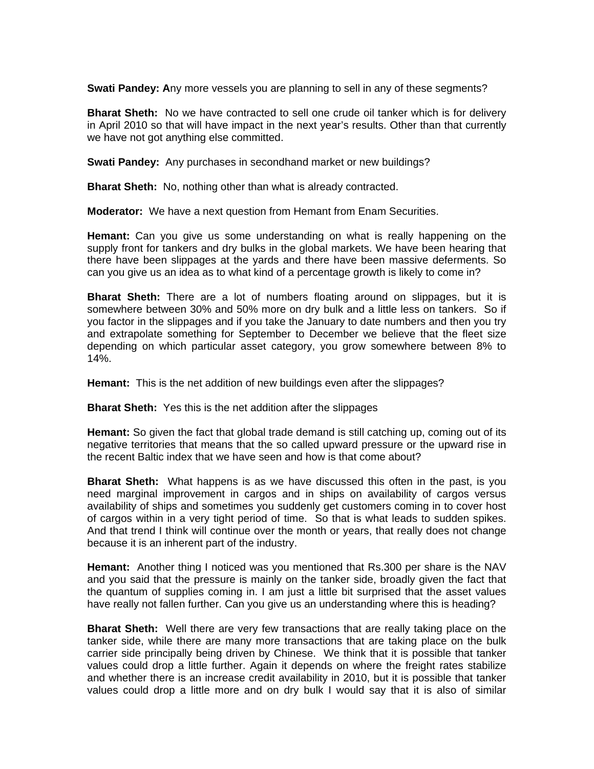**Swati Pandey: A**ny more vessels you are planning to sell in any of these segments?

**Bharat Sheth:** No we have contracted to sell one crude oil tanker which is for delivery in April 2010 so that will have impact in the next year's results. Other than that currently we have not got anything else committed.

**Swati Pandey:** Any purchases in secondhand market or new buildings?

**Bharat Sheth:** No, nothing other than what is already contracted.

**Moderator:** We have a next question from Hemant from Enam Securities.

**Hemant:** Can you give us some understanding on what is really happening on the supply front for tankers and dry bulks in the global markets. We have been hearing that there have been slippages at the yards and there have been massive deferments. So can you give us an idea as to what kind of a percentage growth is likely to come in?

**Bharat Sheth:** There are a lot of numbers floating around on slippages, but it is somewhere between 30% and 50% more on dry bulk and a little less on tankers. So if you factor in the slippages and if you take the January to date numbers and then you try and extrapolate something for September to December we believe that the fleet size depending on which particular asset category, you grow somewhere between 8% to 14%.

**Hemant:** This is the net addition of new buildings even after the slippages?

**Bharat Sheth:** Yes this is the net addition after the slippages

**Hemant:** So given the fact that global trade demand is still catching up, coming out of its negative territories that means that the so called upward pressure or the upward rise in the recent Baltic index that we have seen and how is that come about?

**Bharat Sheth:** What happens is as we have discussed this often in the past, is you need marginal improvement in cargos and in ships on availability of cargos versus availability of ships and sometimes you suddenly get customers coming in to cover host of cargos within in a very tight period of time. So that is what leads to sudden spikes. And that trend I think will continue over the month or years, that really does not change because it is an inherent part of the industry.

**Hemant:** Another thing I noticed was you mentioned that Rs.300 per share is the NAV and you said that the pressure is mainly on the tanker side, broadly given the fact that the quantum of supplies coming in. I am just a little bit surprised that the asset values have really not fallen further. Can you give us an understanding where this is heading?

**Bharat Sheth:** Well there are very few transactions that are really taking place on the tanker side, while there are many more transactions that are taking place on the bulk carrier side principally being driven by Chinese. We think that it is possible that tanker values could drop a little further. Again it depends on where the freight rates stabilize and whether there is an increase credit availability in 2010, but it is possible that tanker values could drop a little more and on dry bulk I would say that it is also of similar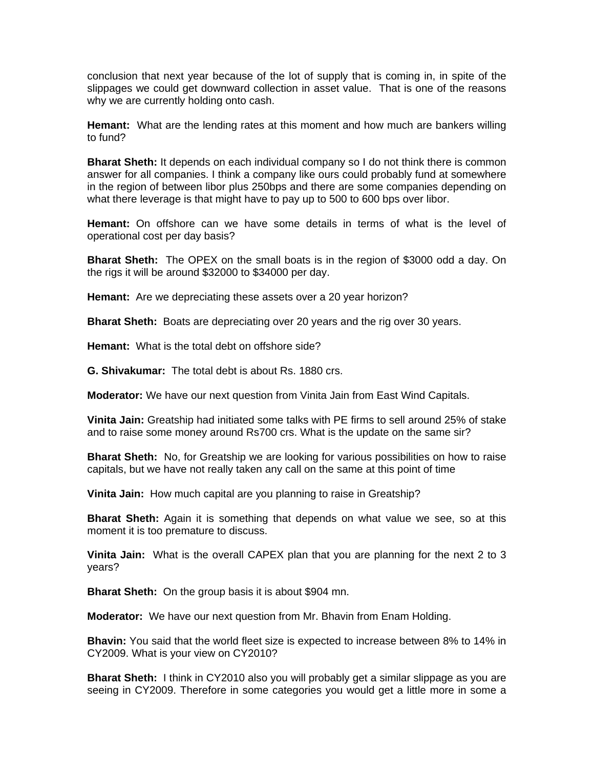conclusion that next year because of the lot of supply that is coming in, in spite of the slippages we could get downward collection in asset value. That is one of the reasons why we are currently holding onto cash.

**Hemant:** What are the lending rates at this moment and how much are bankers willing to fund?

**Bharat Sheth:** It depends on each individual company so I do not think there is common answer for all companies. I think a company like ours could probably fund at somewhere in the region of between libor plus 250bps and there are some companies depending on what there leverage is that might have to pay up to 500 to 600 bps over libor.

**Hemant:** On offshore can we have some details in terms of what is the level of operational cost per day basis?

**Bharat Sheth:** The OPEX on the small boats is in the region of \$3000 odd a day. On the rigs it will be around \$32000 to \$34000 per day.

**Hemant:** Are we depreciating these assets over a 20 year horizon?

**Bharat Sheth:** Boats are depreciating over 20 years and the rig over 30 years.

**Hemant:** What is the total debt on offshore side?

**G. Shivakumar:** The total debt is about Rs. 1880 crs.

**Moderator:** We have our next question from Vinita Jain from East Wind Capitals.

**Vinita Jain:** Greatship had initiated some talks with PE firms to sell around 25% of stake and to raise some money around Rs700 crs. What is the update on the same sir?

**Bharat Sheth:** No, for Greatship we are looking for various possibilities on how to raise capitals, but we have not really taken any call on the same at this point of time

**Vinita Jain:** How much capital are you planning to raise in Greatship?

**Bharat Sheth:** Again it is something that depends on what value we see, so at this moment it is too premature to discuss.

**Vinita Jain:** What is the overall CAPEX plan that you are planning for the next 2 to 3 years?

**Bharat Sheth:** On the group basis it is about \$904 mn.

**Moderator:** We have our next question from Mr. Bhavin from Enam Holding.

**Bhavin:** You said that the world fleet size is expected to increase between 8% to 14% in CY2009. What is your view on CY2010?

**Bharat Sheth:** I think in CY2010 also you will probably get a similar slippage as you are seeing in CY2009. Therefore in some categories you would get a little more in some a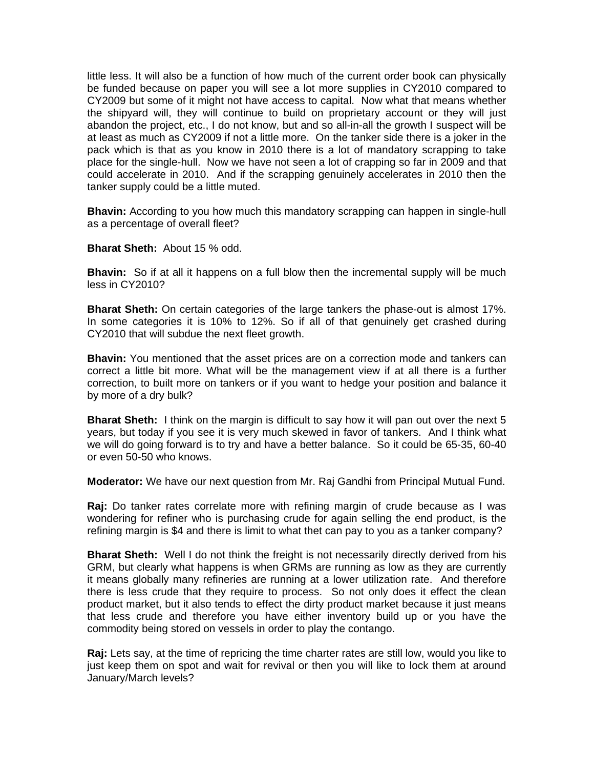little less. It will also be a function of how much of the current order book can physically be funded because on paper you will see a lot more supplies in CY2010 compared to CY2009 but some of it might not have access to capital. Now what that means whether the shipyard will, they will continue to build on proprietary account or they will just abandon the project, etc., I do not know, but and so all-in-all the growth I suspect will be at least as much as CY2009 if not a little more. On the tanker side there is a joker in the pack which is that as you know in 2010 there is a lot of mandatory scrapping to take place for the single-hull. Now we have not seen a lot of crapping so far in 2009 and that could accelerate in 2010. And if the scrapping genuinely accelerates in 2010 then the tanker supply could be a little muted.

**Bhavin:** According to you how much this mandatory scrapping can happen in single-hull as a percentage of overall fleet?

**Bharat Sheth:** About 15 % odd.

**Bhavin:** So if at all it happens on a full blow then the incremental supply will be much less in CY2010?

**Bharat Sheth:** On certain categories of the large tankers the phase-out is almost 17%. In some categories it is 10% to 12%. So if all of that genuinely get crashed during CY2010 that will subdue the next fleet growth.

**Bhavin:** You mentioned that the asset prices are on a correction mode and tankers can correct a little bit more. What will be the management view if at all there is a further correction, to built more on tankers or if you want to hedge your position and balance it by more of a dry bulk?

**Bharat Sheth:** I think on the margin is difficult to say how it will pan out over the next 5 years, but today if you see it is very much skewed in favor of tankers. And I think what we will do going forward is to try and have a better balance. So it could be 65-35, 60-40 or even 50-50 who knows.

**Moderator:** We have our next question from Mr. Raj Gandhi from Principal Mutual Fund.

**Raj:** Do tanker rates correlate more with refining margin of crude because as I was wondering for refiner who is purchasing crude for again selling the end product, is the refining margin is \$4 and there is limit to what thet can pay to you as a tanker company?

**Bharat Sheth:** Well I do not think the freight is not necessarily directly derived from his GRM, but clearly what happens is when GRMs are running as low as they are currently it means globally many refineries are running at a lower utilization rate. And therefore there is less crude that they require to process. So not only does it effect the clean product market, but it also tends to effect the dirty product market because it just means that less crude and therefore you have either inventory build up or you have the commodity being stored on vessels in order to play the contango.

**Raj:** Lets say, at the time of repricing the time charter rates are still low, would you like to just keep them on spot and wait for revival or then you will like to lock them at around January/March levels?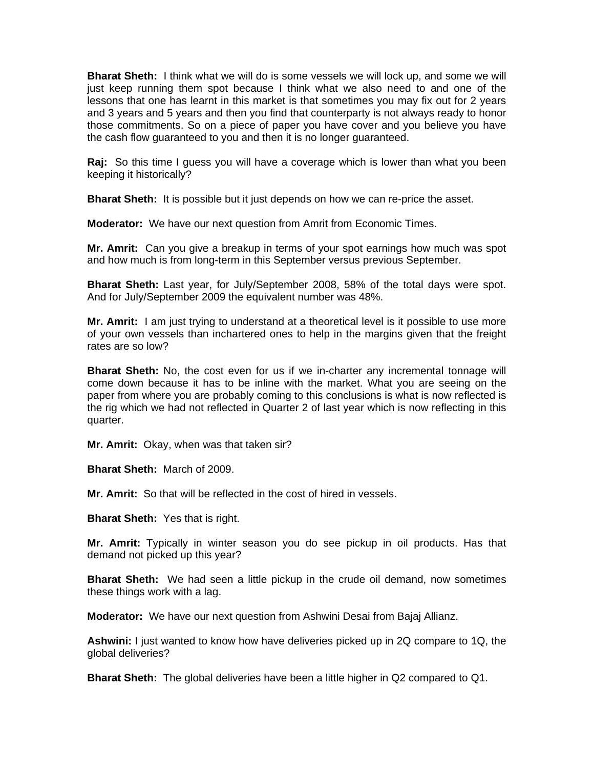**Bharat Sheth:** I think what we will do is some vessels we will lock up, and some we will just keep running them spot because I think what we also need to and one of the lessons that one has learnt in this market is that sometimes you may fix out for 2 years and 3 years and 5 years and then you find that counterparty is not always ready to honor those commitments. So on a piece of paper you have cover and you believe you have the cash flow guaranteed to you and then it is no longer guaranteed.

**Raj:** So this time I guess you will have a coverage which is lower than what you been keeping it historically?

**Bharat Sheth:** It is possible but it just depends on how we can re-price the asset.

**Moderator:** We have our next question from Amrit from Economic Times.

**Mr. Amrit:** Can you give a breakup in terms of your spot earnings how much was spot and how much is from long-term in this September versus previous September.

**Bharat Sheth:** Last year, for July/September 2008, 58% of the total days were spot. And for July/September 2009 the equivalent number was 48%.

**Mr. Amrit:** I am just trying to understand at a theoretical level is it possible to use more of your own vessels than inchartered ones to help in the margins given that the freight rates are so low?

**Bharat Sheth:** No, the cost even for us if we in-charter any incremental tonnage will come down because it has to be inline with the market. What you are seeing on the paper from where you are probably coming to this conclusions is what is now reflected is the rig which we had not reflected in Quarter 2 of last year which is now reflecting in this quarter.

**Mr. Amrit:** Okay, when was that taken sir?

**Bharat Sheth:** March of 2009.

**Mr. Amrit:** So that will be reflected in the cost of hired in vessels.

**Bharat Sheth:** Yes that is right.

**Mr. Amrit:** Typically in winter season you do see pickup in oil products. Has that demand not picked up this year?

**Bharat Sheth:** We had seen a little pickup in the crude oil demand, now sometimes these things work with a lag.

**Moderator:** We have our next question from Ashwini Desai from Bajaj Allianz.

**Ashwini:** I just wanted to know how have deliveries picked up in 2Q compare to 1Q, the global deliveries?

**Bharat Sheth:** The global deliveries have been a little higher in Q2 compared to Q1.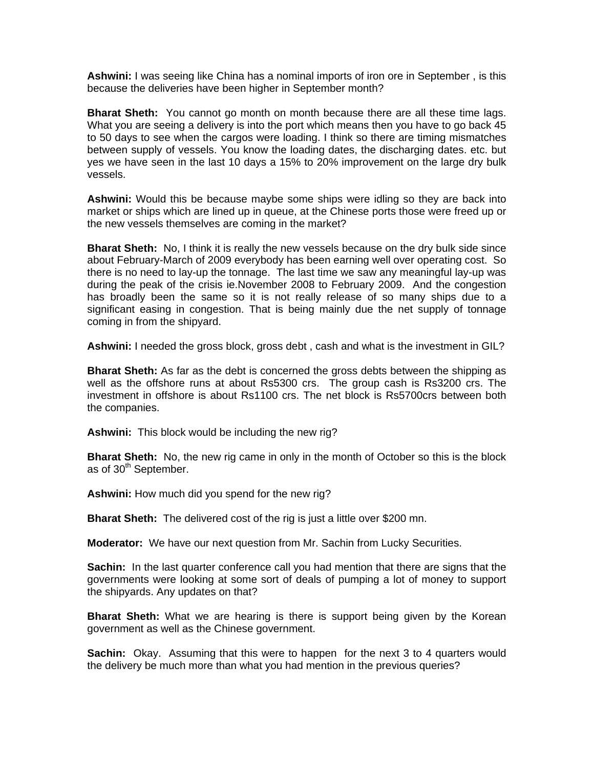**Ashwini:** I was seeing like China has a nominal imports of iron ore in September , is this because the deliveries have been higher in September month?

**Bharat Sheth:** You cannot go month on month because there are all these time lags. What you are seeing a delivery is into the port which means then you have to go back 45 to 50 days to see when the cargos were loading. I think so there are timing mismatches between supply of vessels. You know the loading dates, the discharging dates. etc. but yes we have seen in the last 10 days a 15% to 20% improvement on the large dry bulk vessels.

**Ashwini:** Would this be because maybe some ships were idling so they are back into market or ships which are lined up in queue, at the Chinese ports those were freed up or the new vessels themselves are coming in the market?

**Bharat Sheth:** No, I think it is really the new vessels because on the dry bulk side since about February-March of 2009 everybody has been earning well over operating cost. So there is no need to lay-up the tonnage. The last time we saw any meaningful lay-up was during the peak of the crisis ie.November 2008 to February 2009. And the congestion has broadly been the same so it is not really release of so many ships due to a significant easing in congestion. That is being mainly due the net supply of tonnage coming in from the shipyard.

**Ashwini:** I needed the gross block, gross debt , cash and what is the investment in GIL?

**Bharat Sheth:** As far as the debt is concerned the gross debts between the shipping as well as the offshore runs at about Rs5300 crs. The group cash is Rs3200 crs. The investment in offshore is about Rs1100 crs. The net block is Rs5700crs between both the companies.

**Ashwini:** This block would be including the new rig?

**Bharat Sheth:** No, the new rig came in only in the month of October so this is the block as of 30<sup>th</sup> September.

**Ashwini:** How much did you spend for the new rig?

**Bharat Sheth:** The delivered cost of the rig is just a little over \$200 mn.

**Moderator:** We have our next question from Mr. Sachin from Lucky Securities.

**Sachin:** In the last quarter conference call you had mention that there are signs that the governments were looking at some sort of deals of pumping a lot of money to support the shipyards. Any updates on that?

**Bharat Sheth:** What we are hearing is there is support being given by the Korean government as well as the Chinese government.

**Sachin:** Okay. Assuming that this were to happen for the next 3 to 4 quarters would the delivery be much more than what you had mention in the previous queries?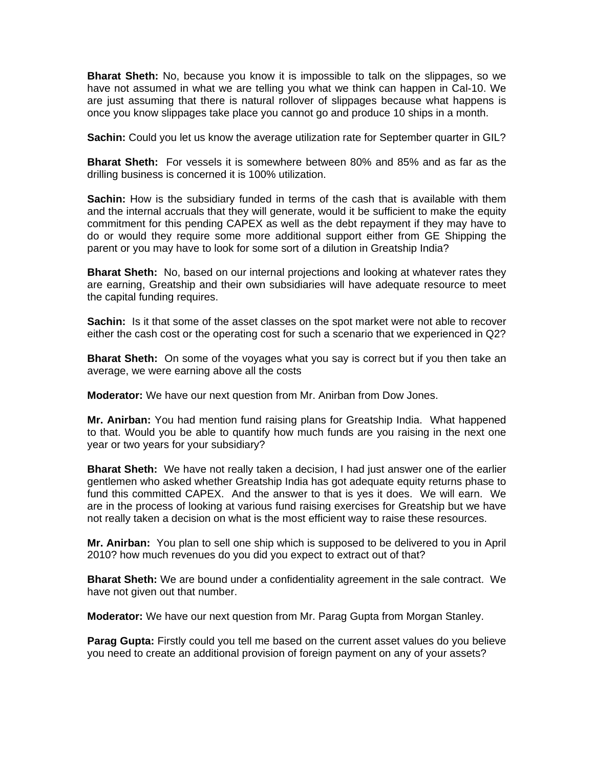**Bharat Sheth:** No, because you know it is impossible to talk on the slippages, so we have not assumed in what we are telling you what we think can happen in Cal-10. We are just assuming that there is natural rollover of slippages because what happens is once you know slippages take place you cannot go and produce 10 ships in a month.

**Sachin:** Could you let us know the average utilization rate for September quarter in GIL?

**Bharat Sheth:** For vessels it is somewhere between 80% and 85% and as far as the drilling business is concerned it is 100% utilization.

**Sachin:** How is the subsidiary funded in terms of the cash that is available with them and the internal accruals that they will generate, would it be sufficient to make the equity commitment for this pending CAPEX as well as the debt repayment if they may have to do or would they require some more additional support either from GE Shipping the parent or you may have to look for some sort of a dilution in Greatship India?

**Bharat Sheth:** No, based on our internal projections and looking at whatever rates they are earning, Greatship and their own subsidiaries will have adequate resource to meet the capital funding requires.

**Sachin:** Is it that some of the asset classes on the spot market were not able to recover either the cash cost or the operating cost for such a scenario that we experienced in Q2?

**Bharat Sheth:** On some of the voyages what you say is correct but if you then take an average, we were earning above all the costs

**Moderator:** We have our next question from Mr. Anirban from Dow Jones.

**Mr. Anirban:** You had mention fund raising plans for Greatship India. What happened to that. Would you be able to quantify how much funds are you raising in the next one year or two years for your subsidiary?

**Bharat Sheth:** We have not really taken a decision, I had just answer one of the earlier gentlemen who asked whether Greatship India has got adequate equity returns phase to fund this committed CAPEX. And the answer to that is yes it does. We will earn. We are in the process of looking at various fund raising exercises for Greatship but we have not really taken a decision on what is the most efficient way to raise these resources.

**Mr. Anirban:** You plan to sell one ship which is supposed to be delivered to you in April 2010? how much revenues do you did you expect to extract out of that?

**Bharat Sheth:** We are bound under a confidentiality agreement in the sale contract. We have not given out that number.

**Moderator:** We have our next question from Mr. Parag Gupta from Morgan Stanley.

**Parag Gupta:** Firstly could you tell me based on the current asset values do you believe you need to create an additional provision of foreign payment on any of your assets?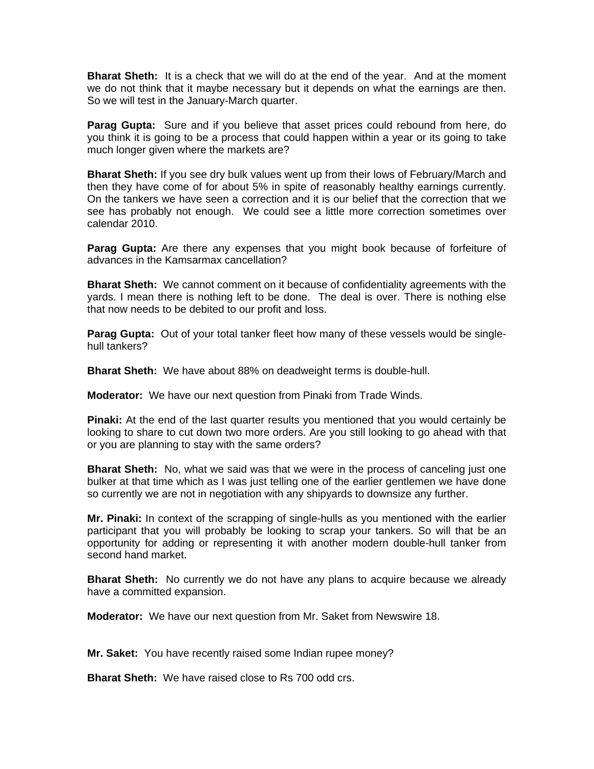**Bharat Sheth:** It is a check that we will do at the end of the year. And at the moment we do not think that it maybe necessary but it depends on what the earnings are then. So we will test in the January-March quarter.

**Parag Gupta:** Sure and if you believe that asset prices could rebound from here, do you think it is going to be a process that could happen within a year or its going to take much longer given where the markets are?

**Bharat Sheth:** If you see dry bulk values went up from their lows of February/March and then they have come of for about 5% in spite of reasonably healthy earnings currently. On the tankers we have seen a correction and it is our belief that the correction that we see has probably not enough. We could see a little more correction sometimes over calendar 2010.

**Parag Gupta:** Are there any expenses that you might book because of forfeiture of advances in the Kamsarmax cancellation?

**Bharat Sheth:** We cannot comment on it because of confidentiality agreements with the yards. I mean there is nothing left to be done. The deal is over. There is nothing else that now needs to be debited to our profit and loss.

**Parag Gupta:** Out of your total tanker fleet how many of these vessels would be singlehull tankers?

**Bharat Sheth:** We have about 88% on deadweight terms is double-hull.

**Moderator:** We have our next question from Pinaki from Trade Winds.

**Pinaki:** At the end of the last quarter results you mentioned that you would certainly be looking to share to cut down two more orders. Are you still looking to go ahead with that or you are planning to stay with the same orders?

**Bharat Sheth:** No, what we said was that we were in the process of canceling just one bulker at that time which as I was just telling one of the earlier gentlemen we have done so currently we are not in negotiation with any shipyards to downsize any further.

**Mr. Pinaki:** In context of the scrapping of single-hulls as you mentioned with the earlier participant that you will probably be looking to scrap your tankers. So will that be an opportunity for adding or representing it with another modern double-hull tanker from second hand market.

**Bharat Sheth:** No currently we do not have any plans to acquire because we already have a committed expansion.

**Moderator:** We have our next question from Mr. Saket from Newswire 18.

**Mr. Saket:** You have recently raised some Indian rupee money?

**Bharat Sheth:** We have raised close to Rs 700 odd crs.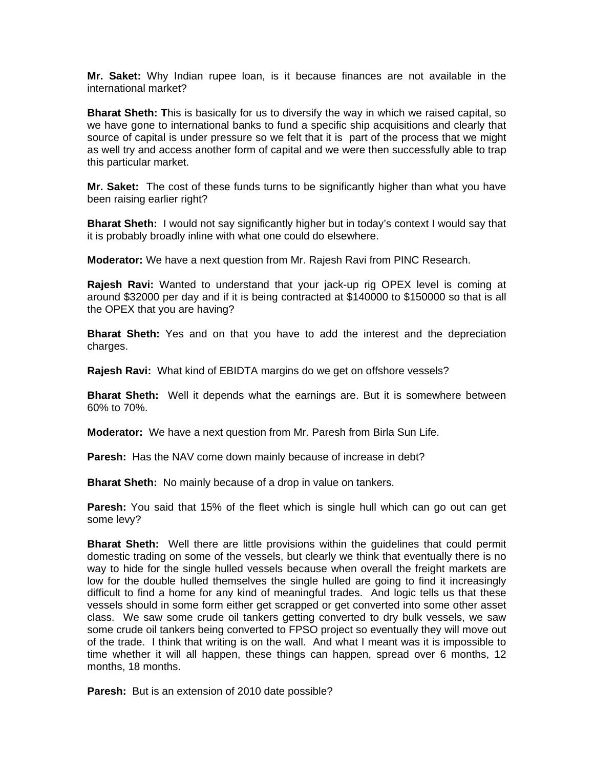**Mr. Saket:** Why Indian rupee loan, is it because finances are not available in the international market?

**Bharat Sheth: T**his is basically for us to diversify the way in which we raised capital, so we have gone to international banks to fund a specific ship acquisitions and clearly that source of capital is under pressure so we felt that it is part of the process that we might as well try and access another form of capital and we were then successfully able to trap this particular market.

**Mr. Saket:** The cost of these funds turns to be significantly higher than what you have been raising earlier right?

**Bharat Sheth:** I would not say significantly higher but in today's context I would say that it is probably broadly inline with what one could do elsewhere.

**Moderator:** We have a next question from Mr. Rajesh Ravi from PINC Research.

**Rajesh Ravi:** Wanted to understand that your jack-up rig OPEX level is coming at around \$32000 per day and if it is being contracted at \$140000 to \$150000 so that is all the OPEX that you are having?

**Bharat Sheth:** Yes and on that you have to add the interest and the depreciation charges.

**Rajesh Ravi:** What kind of EBIDTA margins do we get on offshore vessels?

**Bharat Sheth:** Well it depends what the earnings are. But it is somewhere between 60% to 70%.

**Moderator:** We have a next question from Mr. Paresh from Birla Sun Life.

**Paresh:** Has the NAV come down mainly because of increase in debt?

**Bharat Sheth:** No mainly because of a drop in value on tankers.

**Paresh:** You said that 15% of the fleet which is single hull which can go out can get some levy?

**Bharat Sheth:** Well there are little provisions within the guidelines that could permit domestic trading on some of the vessels, but clearly we think that eventually there is no way to hide for the single hulled vessels because when overall the freight markets are low for the double hulled themselves the single hulled are going to find it increasingly difficult to find a home for any kind of meaningful trades. And logic tells us that these vessels should in some form either get scrapped or get converted into some other asset class. We saw some crude oil tankers getting converted to dry bulk vessels, we saw some crude oil tankers being converted to FPSO project so eventually they will move out of the trade. I think that writing is on the wall. And what I meant was it is impossible to time whether it will all happen, these things can happen, spread over 6 months, 12 months, 18 months.

**Paresh:** But is an extension of 2010 date possible?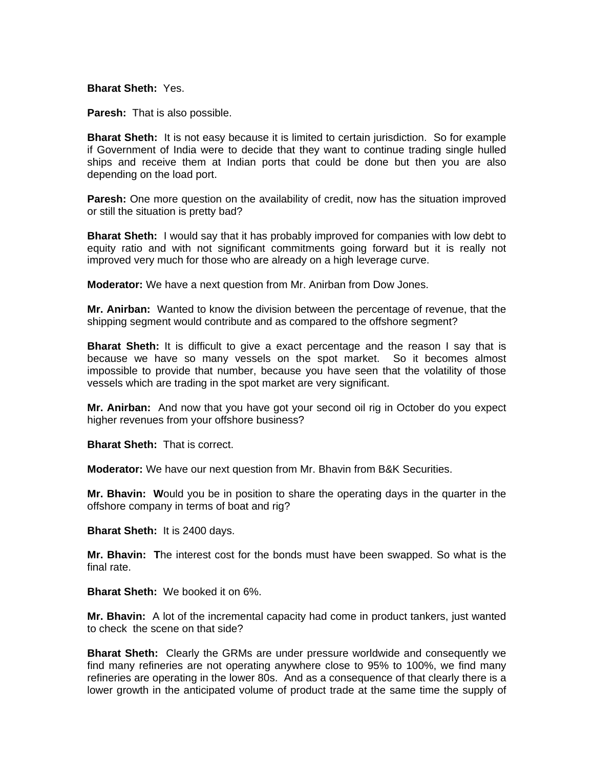**Bharat Sheth:** Yes.

**Paresh:** That is also possible.

**Bharat Sheth:** It is not easy because it is limited to certain jurisdiction. So for example if Government of India were to decide that they want to continue trading single hulled ships and receive them at Indian ports that could be done but then you are also depending on the load port.

**Paresh:** One more question on the availability of credit, now has the situation improved or still the situation is pretty bad?

**Bharat Sheth:** I would say that it has probably improved for companies with low debt to equity ratio and with not significant commitments going forward but it is really not improved very much for those who are already on a high leverage curve.

**Moderator:** We have a next question from Mr. Anirban from Dow Jones.

**Mr. Anirban:** Wanted to know the division between the percentage of revenue, that the shipping segment would contribute and as compared to the offshore segment?

**Bharat Sheth:** It is difficult to give a exact percentage and the reason I say that is because we have so many vessels on the spot market. So it becomes almost impossible to provide that number, because you have seen that the volatility of those vessels which are trading in the spot market are very significant.

**Mr. Anirban:** And now that you have got your second oil rig in October do you expect higher revenues from your offshore business?

**Bharat Sheth:** That is correct.

**Moderator:** We have our next question from Mr. Bhavin from B&K Securities.

**Mr. Bhavin: W**ould you be in position to share the operating days in the quarter in the offshore company in terms of boat and rig?

**Bharat Sheth:** It is 2400 days.

**Mr. Bhavin: T**he interest cost for the bonds must have been swapped. So what is the final rate.

**Bharat Sheth:** We booked it on 6%.

**Mr. Bhavin:** A lot of the incremental capacity had come in product tankers, just wanted to check the scene on that side?

**Bharat Sheth:** Clearly the GRMs are under pressure worldwide and consequently we find many refineries are not operating anywhere close to 95% to 100%, we find many refineries are operating in the lower 80s. And as a consequence of that clearly there is a lower growth in the anticipated volume of product trade at the same time the supply of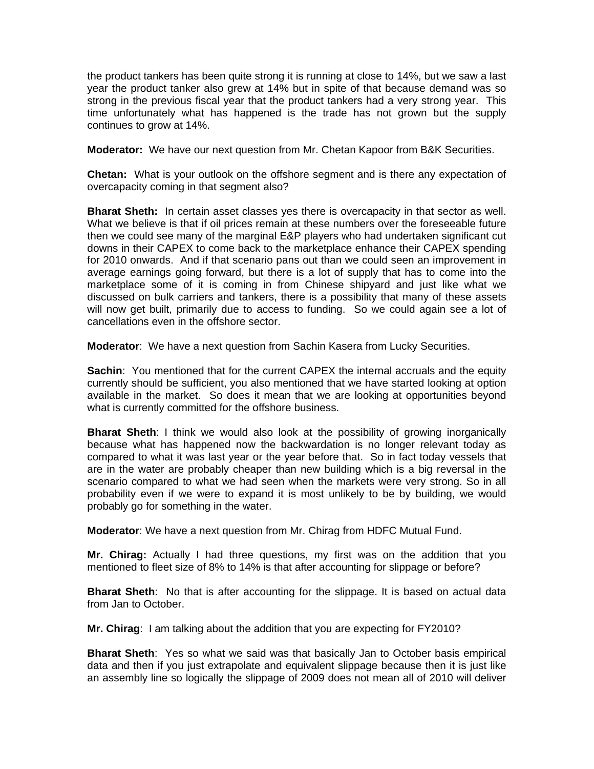the product tankers has been quite strong it is running at close to 14%, but we saw a last year the product tanker also grew at 14% but in spite of that because demand was so strong in the previous fiscal year that the product tankers had a very strong year. This time unfortunately what has happened is the trade has not grown but the supply continues to grow at 14%.

**Moderator:** We have our next question from Mr. Chetan Kapoor from B&K Securities.

**Chetan:** What is your outlook on the offshore segment and is there any expectation of overcapacity coming in that segment also?

**Bharat Sheth:** In certain asset classes yes there is overcapacity in that sector as well. What we believe is that if oil prices remain at these numbers over the foreseeable future then we could see many of the marginal E&P players who had undertaken significant cut downs in their CAPEX to come back to the marketplace enhance their CAPEX spending for 2010 onwards. And if that scenario pans out than we could seen an improvement in average earnings going forward, but there is a lot of supply that has to come into the marketplace some of it is coming in from Chinese shipyard and just like what we discussed on bulk carriers and tankers, there is a possibility that many of these assets will now get built, primarily due to access to funding. So we could again see a lot of cancellations even in the offshore sector.

**Moderator**: We have a next question from Sachin Kasera from Lucky Securities.

**Sachin:** You mentioned that for the current CAPEX the internal accruals and the equity currently should be sufficient, you also mentioned that we have started looking at option available in the market. So does it mean that we are looking at opportunities beyond what is currently committed for the offshore business.

**Bharat Sheth**: I think we would also look at the possibility of growing inorganically because what has happened now the backwardation is no longer relevant today as compared to what it was last year or the year before that. So in fact today vessels that are in the water are probably cheaper than new building which is a big reversal in the scenario compared to what we had seen when the markets were very strong. So in all probability even if we were to expand it is most unlikely to be by building, we would probably go for something in the water.

**Moderator**: We have a next question from Mr. Chirag from HDFC Mutual Fund.

**Mr. Chirag:** Actually I had three questions, my first was on the addition that you mentioned to fleet size of 8% to 14% is that after accounting for slippage or before?

**Bharat Sheth**: No that is after accounting for the slippage. It is based on actual data from Jan to October.

**Mr. Chirag**: I am talking about the addition that you are expecting for FY2010?

**Bharat Sheth**: Yes so what we said was that basically Jan to October basis empirical data and then if you just extrapolate and equivalent slippage because then it is just like an assembly line so logically the slippage of 2009 does not mean all of 2010 will deliver